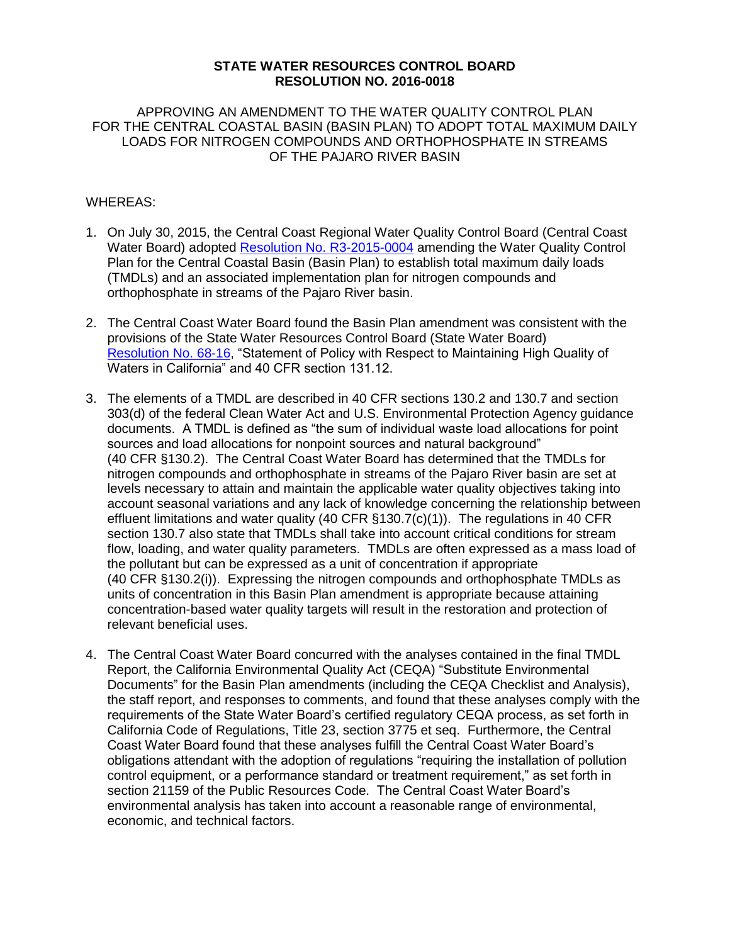## **STATE WATER RESOURCES CONTROL BOARD RESOLUTION NO. 2016-0018**

APPROVING AN AMENDMENT TO THE WATER QUALITY CONTROL PLAN FOR THE CENTRAL COASTAL BASIN (BASIN PLAN) TO ADOPT TOTAL MAXIMUM DAILY LOADS FOR NITROGEN COMPOUNDS AND ORTHOPHOSPHATE IN STREAMS OF THE PAJARO RIVER BASIN

## WHEREAS:

- 1. On July 30, 2015, the Central Coast Regional Water Quality Control Board (Central Coast Water Board) adopted [Resolution No. R3-2015-0004](http://www.waterboards.ca.gov/centralcoast/water_issues/programs/tmdl/docs/pajaro/nutrients/index.shtml) amending the Water Quality Control Plan for the Central Coastal Basin (Basin Plan) to establish total maximum daily loads (TMDLs) and an associated implementation plan for nitrogen compounds and orthophosphate in streams of the Pajaro River basin.
- 2. The Central Coast Water Board found the Basin Plan amendment was consistent with the provisions of the State Water Resources Control Board (State Water Board) [Resolution No. 68-16,](http://www.waterboards.ca.gov/board_decisions/adopted_orders/resolutions/1968/rs68_016.pdf) "Statement of Policy with Respect to Maintaining High Quality of Waters in California" and 40 CFR section 131.12.
- 3. The elements of a TMDL are described in 40 CFR sections 130.2 and 130.7 and section 303(d) of the federal Clean Water Act and U.S. Environmental Protection Agency guidance documents. A TMDL is defined as "the sum of individual waste load allocations for point sources and load allocations for nonpoint sources and natural background" (40 CFR §130.2). The Central Coast Water Board has determined that the TMDLs for nitrogen compounds and orthophosphate in streams of the Pajaro River basin are set at levels necessary to attain and maintain the applicable water quality objectives taking into account seasonal variations and any lack of knowledge concerning the relationship between effluent limitations and water quality (40 CFR §130.7(c)(1)). The regulations in 40 CFR section 130.7 also state that TMDLs shall take into account critical conditions for stream flow, loading, and water quality parameters. TMDLs are often expressed as a mass load of the pollutant but can be expressed as a unit of concentration if appropriate (40 CFR §130.2(i)). Expressing the nitrogen compounds and orthophosphate TMDLs as units of concentration in this Basin Plan amendment is appropriate because attaining concentration-based water quality targets will result in the restoration and protection of relevant beneficial uses.
- 4. The Central Coast Water Board concurred with the analyses contained in the [final TMDL](http://www.waterboards.ca.gov/board_info/agendas/2011/sep/091911_5att_ceqa.pdf) [Report, the California Environmental Quality Act](http://www.waterboards.ca.gov/board_info/agendas/2011/sep/091911_5att_ceqa.pdf) (CEQA) "Substitute Environmental [Documents" f](http://www.waterboards.ca.gov/board_info/agendas/2011/sep/091911_5att_ceqa.pdf)or the Basin Plan amendments (including the CEQA Checklist and Analysis), the staff report, and responses to comments, and found that these analyses comply with the requirements of the State Water Board's certified regulatory CEQA process, as set forth in California Code of Regulations, Title 23, section 3775 et seq. Furthermore, the Central Coast Water Board found that these analyses fulfill the Central Coast Water Board's obligations attendant with the adoption of regulations "requiring the installation of pollution control equipment, or a performance standard or treatment requirement," as set forth in section 21159 of the Public Resources Code. The Central Coast Water Board's environmental analysis has taken into account a reasonable range of environmental, economic, and technical factors.